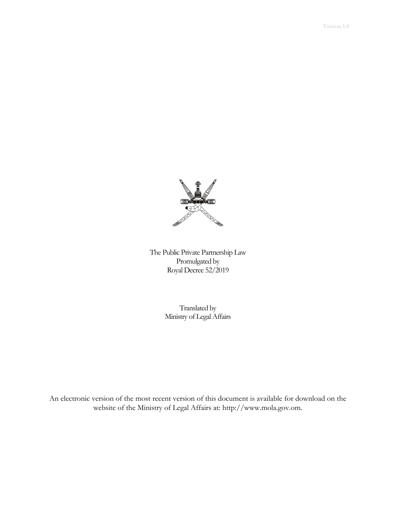

The Public Private Partnership Law Promulgated by Royal Decree 52/2019

> Translated by Ministry of Legal Affairs

An electronic version of the most recent version of this document is available for download on the website of the Ministry of Legal Affairs at: http://www.mola.gov.om.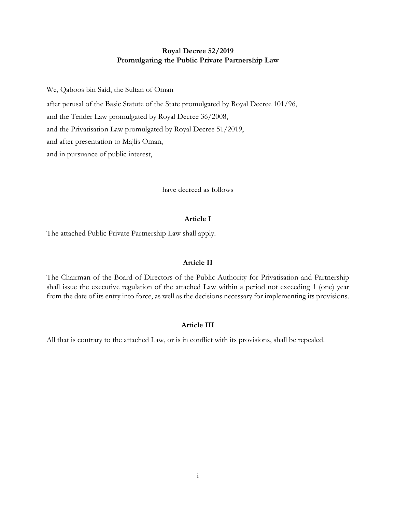# **Royal Decree 52/2019 Promulgating the Public Private Partnership Law**

We, Qaboos bin Said, the Sultan of Oman

after perusal of the Basic Statute of the State promulgated by Royal Decree 101/96,

and the Tender Law promulgated by Royal Decree 36/2008,

and the Privatisation Law promulgated by Royal Decree 51/2019,

and after presentation to Majlis Oman,

and in pursuance of public interest,

have decreed as follows

# **Article I**

The attached Public Private Partnership Law shall apply.

# **Article II**

The Chairman of the Board of Directors of the Public Authority for Privatisation and Partnership shall issue the executive regulation of the attached Law within a period not exceeding 1 (one) year from the date of its entry into force, as well as the decisions necessary for implementing its provisions.

# **Article III**

All that is contrary to the attached Law, or is in conflict with its provisions, shall be repealed.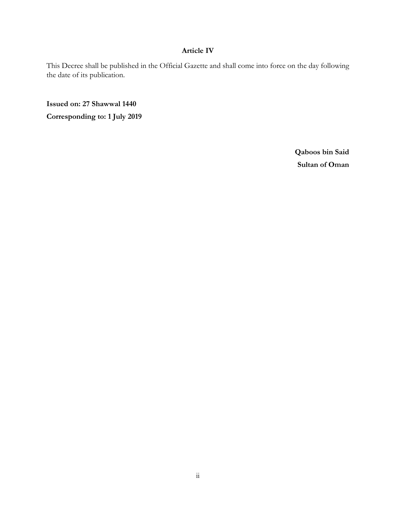# **Article IV**

This Decree shall be published in the Official Gazette and shall come into force on the day following the date of its publication.

**Issued on: 27 Shawwal 1440 Corresponding to: 1 July 2019**

> **Qaboos bin Said Sultan of Oman**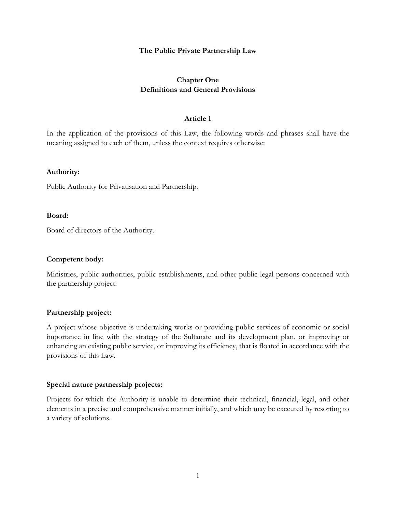## **The Public Private Partnership Law**

# **Chapter One Definitions and General Provisions**

# **Article 1**

In the application of the provisions of this Law, the following words and phrases shall have the meaning assigned to each of them, unless the context requires otherwise:

### **Authority:**

Public Authority for Privatisation and Partnership.

### **Board:**

Board of directors of the Authority.

## **Competent body:**

Ministries, public authorities, public establishments, and other public legal persons concerned with the partnership project.

## **Partnership project:**

A project whose objective is undertaking works or providing public services of economic or social importance in line with the strategy of the Sultanate and its development plan, or improving or enhancing an existing public service, or improving its efficiency, that is floated in accordance with the provisions of this Law.

### **Special nature partnership projects:**

Projects for which the Authority is unable to determine their technical, financial, legal, and other elements in a precise and comprehensive manner initially, and which may be executed by resorting to a variety of solutions.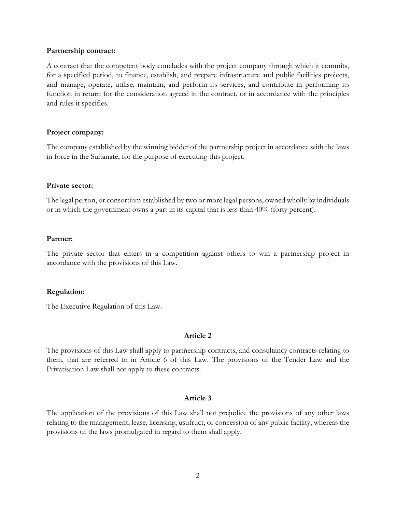### **Partnership contract:**

A contract that the competent body concludes with the project company through which it commits, for a specified period, to finance, establish, and prepare infrastructure and public facilities projects, and manage, operate, utilise, maintain, and perform its services, and contribute in performing its function in return for the consideration agreed in the contract, or in accordance with the principles and rules it specifies.

## **Project company:**

The company established by the winning bidder of the partnership project in accordance with the laws in force in the Sultanate, for the purpose of executing this project.

## **Private sector:**

The legal person, or consortium established by two or more legal persons, owned wholly by individuals or in which the government owns a part in its capital that is less than 40% (forty percent).

## **Partner:**

The private sector that enters in a competition against others to win a partnership project in accordance with the provisions of this Law.

# **Regulation:**

The Executive Regulation of this Law.

# **Article 2**

The provisions of this Law shall apply to partnership contracts, and consultancy contracts relating to them, that are referred to in Article 6 of this Law. The provisions of the Tender Law and the Privatisation Law shall not apply to these contracts.

# **Article 3**

The application of the provisions of this Law shall not prejudice the provisions of any other laws relating to the management, lease, licensing, usufruct, or concession of any public facility, whereas the provisions of the laws promulgated in regard to them shall apply.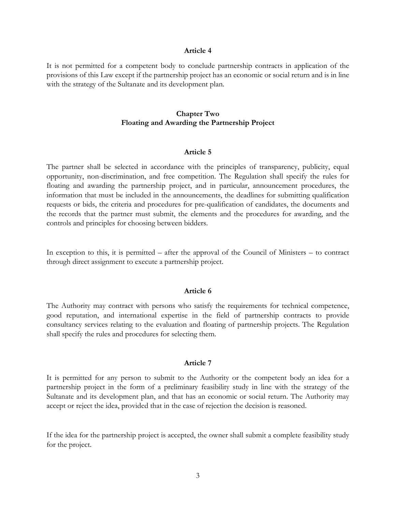#### **Article 4**

It is not permitted for a competent body to conclude partnership contracts in application of the provisions of this Law except if the partnership project has an economic or social return and is in line with the strategy of the Sultanate and its development plan.

## **Chapter Two Floating and Awarding the Partnership Project**

#### **Article 5**

The partner shall be selected in accordance with the principles of transparency, publicity, equal opportunity, non-discrimination, and free competition. The Regulation shall specify the rules for floating and awarding the partnership project, and in particular, announcement procedures, the information that must be included in the announcements, the deadlines for submitting qualification requests or bids, the criteria and procedures for pre-qualification of candidates, the documents and the records that the partner must submit, the elements and the procedures for awarding, and the controls and principles for choosing between bidders.

In exception to this, it is permitted – after the approval of the Council of Ministers – to contract through direct assignment to execute a partnership project.

#### **Article 6**

The Authority may contract with persons who satisfy the requirements for technical competence, good reputation, and international expertise in the field of partnership contracts to provide consultancy services relating to the evaluation and floating of partnership projects. The Regulation shall specify the rules and procedures for selecting them.

### **Article 7**

It is permitted for any person to submit to the Authority or the competent body an idea for a partnership project in the form of a preliminary feasibility study in line with the strategy of the Sultanate and its development plan, and that has an economic or social return. The Authority may accept or reject the idea, provided that in the case of rejection the decision is reasoned.

If the idea for the partnership project is accepted, the owner shall submit a complete feasibility study for the project.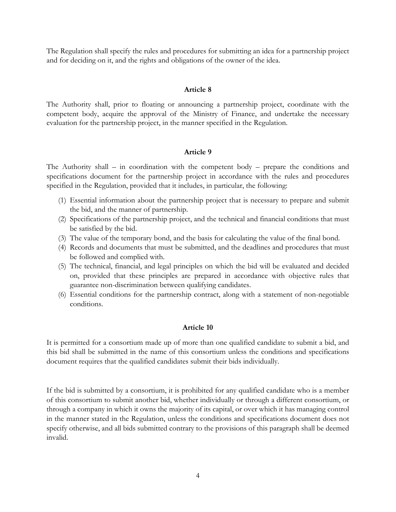The Regulation shall specify the rules and procedures for submitting an idea for a partnership project and for deciding on it, and the rights and obligations of the owner of the idea.

## **Article 8**

The Authority shall, prior to floating or announcing a partnership project, coordinate with the competent body, acquire the approval of the Ministry of Finance, and undertake the necessary evaluation for the partnership project, in the manner specified in the Regulation.

### **Article 9**

The Authority shall – in coordination with the competent body – prepare the conditions and specifications document for the partnership project in accordance with the rules and procedures specified in the Regulation, provided that it includes, in particular, the following:

- (1) Essential information about the partnership project that is necessary to prepare and submit the bid, and the manner of partnership.
- (2) Specifications of the partnership project, and the technical and financial conditions that must be satisfied by the bid.
- (3) The value of the temporary bond, and the basis for calculating the value of the final bond.
- (4) Records and documents that must be submitted, and the deadlines and procedures that must be followed and complied with.
- (5) The technical, financial, and legal principles on which the bid will be evaluated and decided on, provided that these principles are prepared in accordance with objective rules that guarantee non-discrimination between qualifying candidates.
- (6) Essential conditions for the partnership contract, along with a statement of non-negotiable conditions.

## **Article 10**

It is permitted for a consortium made up of more than one qualified candidate to submit a bid, and this bid shall be submitted in the name of this consortium unless the conditions and specifications document requires that the qualified candidates submit their bids individually.

If the bid is submitted by a consortium, it is prohibited for any qualified candidate who is a member of this consortium to submit another bid, whether individually or through a different consortium, or through a company in which it owns the majority of its capital, or over which it has managing control in the manner stated in the Regulation, unless the conditions and specifications document does not specify otherwise, and all bids submitted contrary to the provisions of this paragraph shall be deemed invalid.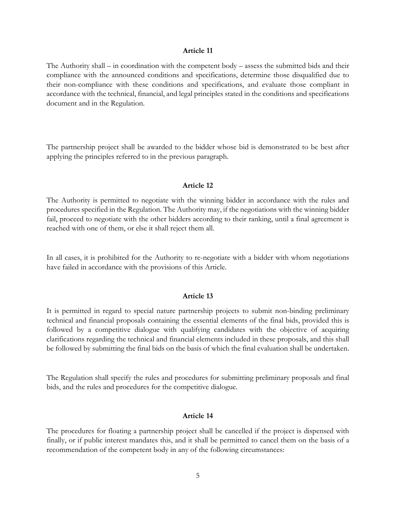#### **Article 11**

The Authority shall – in coordination with the competent body – assess the submitted bids and their compliance with the announced conditions and specifications, determine those disqualified due to their non-compliance with these conditions and specifications, and evaluate those compliant in accordance with the technical, financial, and legal principles stated in the conditions and specifications document and in the Regulation.

The partnership project shall be awarded to the bidder whose bid is demonstrated to be best after applying the principles referred to in the previous paragraph.

#### **Article 12**

The Authority is permitted to negotiate with the winning bidder in accordance with the rules and procedures specified in the Regulation. The Authority may, if the negotiations with the winning bidder fail, proceed to negotiate with the other bidders according to their ranking, until a final agreement is reached with one of them, or else it shall reject them all.

In all cases, it is prohibited for the Authority to re-negotiate with a bidder with whom negotiations have failed in accordance with the provisions of this Article.

#### **Article 13**

It is permitted in regard to special nature partnership projects to submit non-binding preliminary technical and financial proposals containing the essential elements of the final bids, provided this is followed by a competitive dialogue with qualifying candidates with the objective of acquiring clarifications regarding the technical and financial elements included in these proposals, and this shall be followed by submitting the final bids on the basis of which the final evaluation shall be undertaken.

The Regulation shall specify the rules and procedures for submitting preliminary proposals and final bids, and the rules and procedures for the competitive dialogue.

### **Article 14**

The procedures for floating a partnership project shall be cancelled if the project is dispensed with finally, or if public interest mandates this, and it shall be permitted to cancel them on the basis of a recommendation of the competent body in any of the following circumstances: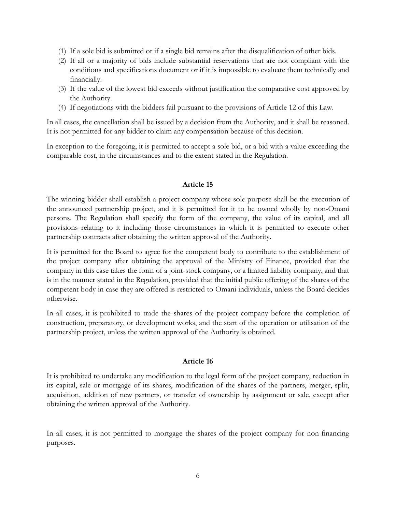- (1) If a sole bid is submitted or if a single bid remains after the disqualification of other bids.
- (2) If all or a majority of bids include substantial reservations that are not compliant with the conditions and specifications document or if it is impossible to evaluate them technically and financially.
- (3) If the value of the lowest bid exceeds without justification the comparative cost approved by the Authority.
- (4) If negotiations with the bidders fail pursuant to the provisions of Article 12 of this Law.

In all cases, the cancellation shall be issued by a decision from the Authority, and it shall be reasoned. It is not permitted for any bidder to claim any compensation because of this decision.

In exception to the foregoing, it is permitted to accept a sole bid, or a bid with a value exceeding the comparable cost, in the circumstances and to the extent stated in the Regulation.

# **Article 15**

The winning bidder shall establish a project company whose sole purpose shall be the execution of the announced partnership project, and it is permitted for it to be owned wholly by non-Omani persons. The Regulation shall specify the form of the company, the value of its capital, and all provisions relating to it including those circumstances in which it is permitted to execute other partnership contracts after obtaining the written approval of the Authority.

It is permitted for the Board to agree for the competent body to contribute to the establishment of the project company after obtaining the approval of the Ministry of Finance, provided that the company in this case takes the form of a joint-stock company, or a limited liability company, and that is in the manner stated in the Regulation, provided that the initial public offering of the shares of the competent body in case they are offered is restricted to Omani individuals, unless the Board decides otherwise.

In all cases, it is prohibited to trade the shares of the project company before the completion of construction, preparatory, or development works, and the start of the operation or utilisation of the partnership project, unless the written approval of the Authority is obtained.

# **Article 16**

It is prohibited to undertake any modification to the legal form of the project company, reduction in its capital, sale or mortgage of its shares, modification of the shares of the partners, merger, split, acquisition, addition of new partners, or transfer of ownership by assignment or sale, except after obtaining the written approval of the Authority.

In all cases, it is not permitted to mortgage the shares of the project company for non-financing purposes.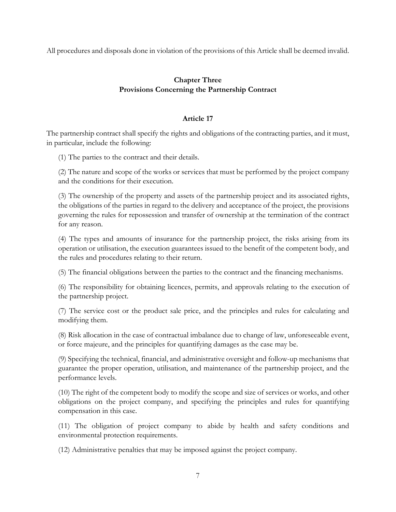All procedures and disposals done in violation of the provisions of this Article shall be deemed invalid.

# **Chapter Three Provisions Concerning the Partnership Contract**

# **Article 17**

The partnership contract shall specify the rights and obligations of the contracting parties, and it must, in particular, include the following:

(1) The parties to the contract and their details.

(2) The nature and scope of the works or services that must be performed by the project company and the conditions for their execution.

(3) The ownership of the property and assets of the partnership project and its associated rights, the obligations of the parties in regard to the delivery and acceptance of the project, the provisions governing the rules for repossession and transfer of ownership at the termination of the contract for any reason.

(4) The types and amounts of insurance for the partnership project, the risks arising from its operation or utilisation, the execution guarantees issued to the benefit of the competent body, and the rules and procedures relating to their return.

(5) The financial obligations between the parties to the contract and the financing mechanisms.

(6) The responsibility for obtaining licences, permits, and approvals relating to the execution of the partnership project.

(7) The service cost or the product sale price, and the principles and rules for calculating and modifying them.

(8) Risk allocation in the case of contractual imbalance due to change of law, unforeseeable event, or force majeure, and the principles for quantifying damages as the case may be.

(9) Specifying the technical, financial, and administrative oversight and follow-up mechanisms that guarantee the proper operation, utilisation, and maintenance of the partnership project, and the performance levels.

(10) The right of the competent body to modify the scope and size of services or works, and other obligations on the project company, and specifying the principles and rules for quantifying compensation in this case.

(11) The obligation of project company to abide by health and safety conditions and environmental protection requirements.

(12) Administrative penalties that may be imposed against the project company.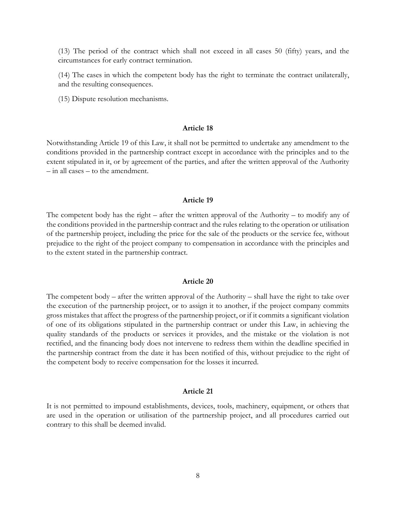(13) The period of the contract which shall not exceed in all cases 50 (fifty) years, and the circumstances for early contract termination.

(14) The cases in which the competent body has the right to terminate the contract unilaterally, and the resulting consequences.

(15) Dispute resolution mechanisms.

## **Article 18**

Notwithstanding Article 19 of this Law, it shall not be permitted to undertake any amendment to the conditions provided in the partnership contract except in accordance with the principles and to the extent stipulated in it, or by agreement of the parties, and after the written approval of the Authority – in all cases – to the amendment.

#### **Article 19**

The competent body has the right – after the written approval of the Authority – to modify any of the conditions provided in the partnership contract and the rules relating to the operation or utilisation of the partnership project, including the price for the sale of the products or the service fee, without prejudice to the right of the project company to compensation in accordance with the principles and to the extent stated in the partnership contract.

### **Article 20**

The competent body – after the written approval of the Authority – shall have the right to take over the execution of the partnership project, or to assign it to another, if the project company commits gross mistakes that affect the progress of the partnership project, or if it commits a significant violation of one of its obligations stipulated in the partnership contract or under this Law, in achieving the quality standards of the products or services it provides, and the mistake or the violation is not rectified, and the financing body does not intervene to redress them within the deadline specified in the partnership contract from the date it has been notified of this, without prejudice to the right of the competent body to receive compensation for the losses it incurred.

### **Article 21**

It is not permitted to impound establishments, devices, tools, machinery, equipment, or others that are used in the operation or utilisation of the partnership project, and all procedures carried out contrary to this shall be deemed invalid.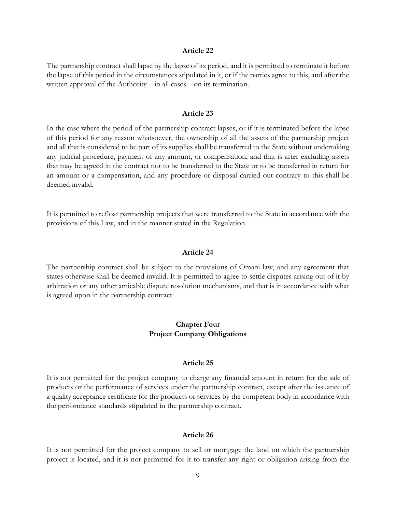#### **Article 22**

The partnership contract shall lapse by the lapse of its period, and it is permitted to terminate it before the lapse of this period in the circumstances stipulated in it, or if the parties agree to this, and after the written approval of the Authority – in all cases – on its termination.

## **Article 23**

In the case where the period of the partnership contract lapses, or if it is terminated before the lapse of this period for any reason whatsoever, the ownership of all the assets of the partnership project and all that is considered to be part of its supplies shall be transferred to the State without undertaking any judicial procedure, payment of any amount, or compensation, and that is after excluding assets that may be agreed in the contract not to be transferred to the State or to be transferred in return for an amount or a compensation, and any procedure or disposal carried out contrary to this shall be deemed invalid.

It is permitted to refloat partnership projects that were transferred to the State in accordance with the provisions of this Law, and in the manner stated in the Regulation.

### **Article 24**

The partnership contract shall be subject to the provisions of Omani law, and any agreement that states otherwise shall be deemed invalid. It is permitted to agree to settle disputes arising out of it by arbitration or any other amicable dispute resolution mechanisms, and that is in accordance with what is agreed upon in the partnership contract.

## **Chapter Four Project Company Obligations**

#### **Article 25**

It is not permitted for the project company to charge any financial amount in return for the sale of products or the performance of services under the partnership contract, except after the issuance of a quality acceptance certificate for the products or services by the competent body in accordance with the performance standards stipulated in the partnership contract.

#### **Article 26**

It is not permitted for the project company to sell or mortgage the land on which the partnership project is located, and it is not permitted for it to transfer any right or obligation arising from the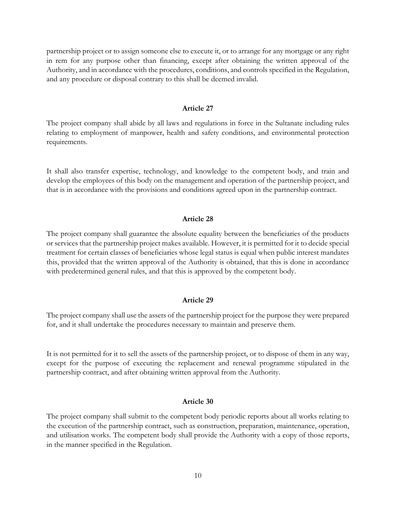partnership project or to assign someone else to execute it, or to arrange for any mortgage or any right in rem for any purpose other than financing, except after obtaining the written approval of the Authority, and in accordance with the procedures, conditions, and controls specified in the Regulation, and any procedure or disposal contrary to this shall be deemed invalid.

### **Article 27**

The project company shall abide by all laws and regulations in force in the Sultanate including rules relating to employment of manpower, health and safety conditions, and environmental protection requirements.

It shall also transfer expertise, technology, and knowledge to the competent body, and train and develop the employees of this body on the management and operation of the partnership project, and that is in accordance with the provisions and conditions agreed upon in the partnership contract.

### **Article 28**

The project company shall guarantee the absolute equality between the beneficiaries of the products or services that the partnership project makes available. However, it is permitted for it to decide special treatment for certain classes of beneficiaries whose legal status is equal when public interest mandates this, provided that the written approval of the Authority is obtained, that this is done in accordance with predetermined general rules, and that this is approved by the competent body.

### **Article 29**

The project company shall use the assets of the partnership project for the purpose they were prepared for, and it shall undertake the procedures necessary to maintain and preserve them.

It is not permitted for it to sell the assets of the partnership project, or to dispose of them in any way, except for the purpose of executing the replacement and renewal programme stipulated in the partnership contract, and after obtaining written approval from the Authority.

## **Article 30**

The project company shall submit to the competent body periodic reports about all works relating to the execution of the partnership contract, such as construction, preparation, maintenance, operation, and utilisation works. The competent body shall provide the Authority with a copy of those reports, in the manner specified in the Regulation.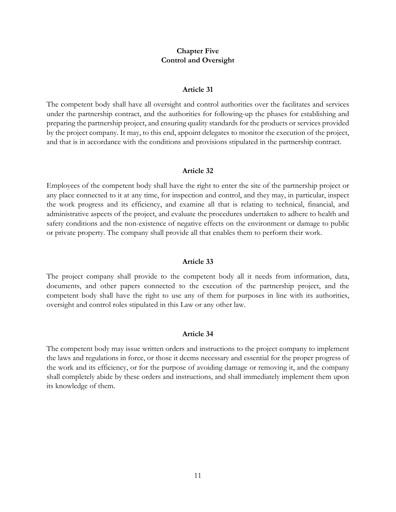# **Chapter Five Control and Oversight**

#### **Article 31**

The competent body shall have all oversight and control authorities over the facilitates and services under the partnership contract, and the authorities for following-up the phases for establishing and preparing the partnership project, and ensuring quality standards for the products or services provided by the project company. It may, to this end, appoint delegates to monitor the execution of the project, and that is in accordance with the conditions and provisions stipulated in the partnership contract.

#### **Article 32**

Employees of the competent body shall have the right to enter the site of the partnership project or any place connected to it at any time, for inspection and control, and they may, in particular, inspect the work progress and its efficiency, and examine all that is relating to technical, financial, and administrative aspects of the project, and evaluate the procedures undertaken to adhere to health and safety conditions and the non-existence of negative effects on the environment or damage to public or private property. The company shall provide all that enables them to perform their work.

### **Article 33**

The project company shall provide to the competent body all it needs from information, data, documents, and other papers connected to the execution of the partnership project, and the competent body shall have the right to use any of them for purposes in line with its authorities, oversight and control roles stipulated in this Law or any other law.

### **Article 34**

The competent body may issue written orders and instructions to the project company to implement the laws and regulations in force, or those it deems necessary and essential for the proper progress of the work and its efficiency, or for the purpose of avoiding damage or removing it, and the company shall completely abide by these orders and instructions, and shall immediately implement them upon its knowledge of them.